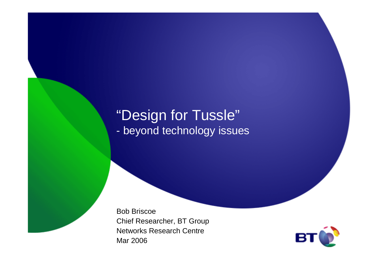# "Design for Tussle"

beyond technology issues

Bob Briscoe Chief Researcher, BT Group Networks Research CentreMar 2006

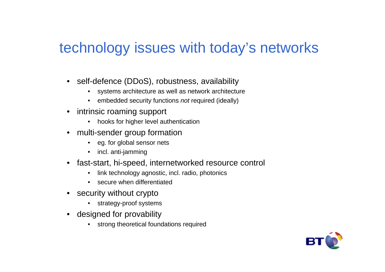#### technology issues with today's networks

- • self-defence (DDoS), robustness, availability
	- systems architecture as well as network architecture •
	- $\bullet$ embedded security functions not required (ideally)
- $\bullet$  intrinsic roaming support
	- hooks for higher level authentication
- multi-sender group formation
	- eg. for global sensor nets
	- $\bullet$ incl. anti-jamming
- • fast-start, hi-speed, internetworked resource control
	- •link technology agnostic, incl. radio, photonics
	- •secure when differentiated
- security without crypto
	- strategy-proof systems•
- designed for provability
	- strong theoretical foundations required

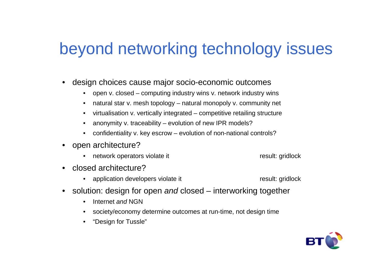## beyond networking technology issues

- • design choices cause major socio-economic outcomes
	- open v. closed computing industry wins v. network industry wins
	- $\bullet$ natural star v. mesh topology – natural monopoly v. community net
	- $\bullet$ virtualisation v. vertically integrated – competitive retailing structure
	- $\bullet$ anonymity v. traceability – evolution of new IPR models?
	- $\bullet$ confidentiality v. key escrow – evolution of non-national controls?
- •open architecture?

•

- network operators violate it result: gridlock
- • closed architecture?
	- •application developers violate it result: gridlock
- $\bullet$ solution: design for open and closed – interworking together
	- •Internet and NGN
	- society/economy determine outcomes at run-time, not design time•
	- •"Design for Tussle"

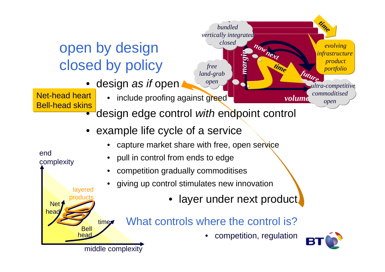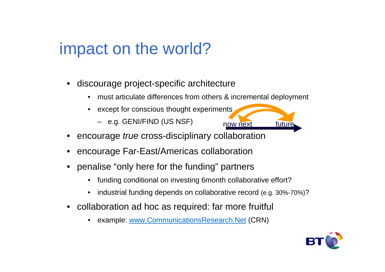## impact on the world?

- • discourage project-specific architecture
	- •must articulate differences from others & incremental deployment
	- • except for conscious thought experiments
		- e.g. GENI/FIND (US NSF)
- •encourage true cross-disciplinary collaboration
- •encourage Far-East/Americas collaboration
- penalise "only here for the funding" partners
	- •funding conditional on investing 6month collaborative effort?
	- •industrial funding depends on collaborative record (e.g. 30%-70%) ?
- collaboration ad hoc as required: far more fruitful
	- •example: www.CommunicationsResearch.Net (CRN)